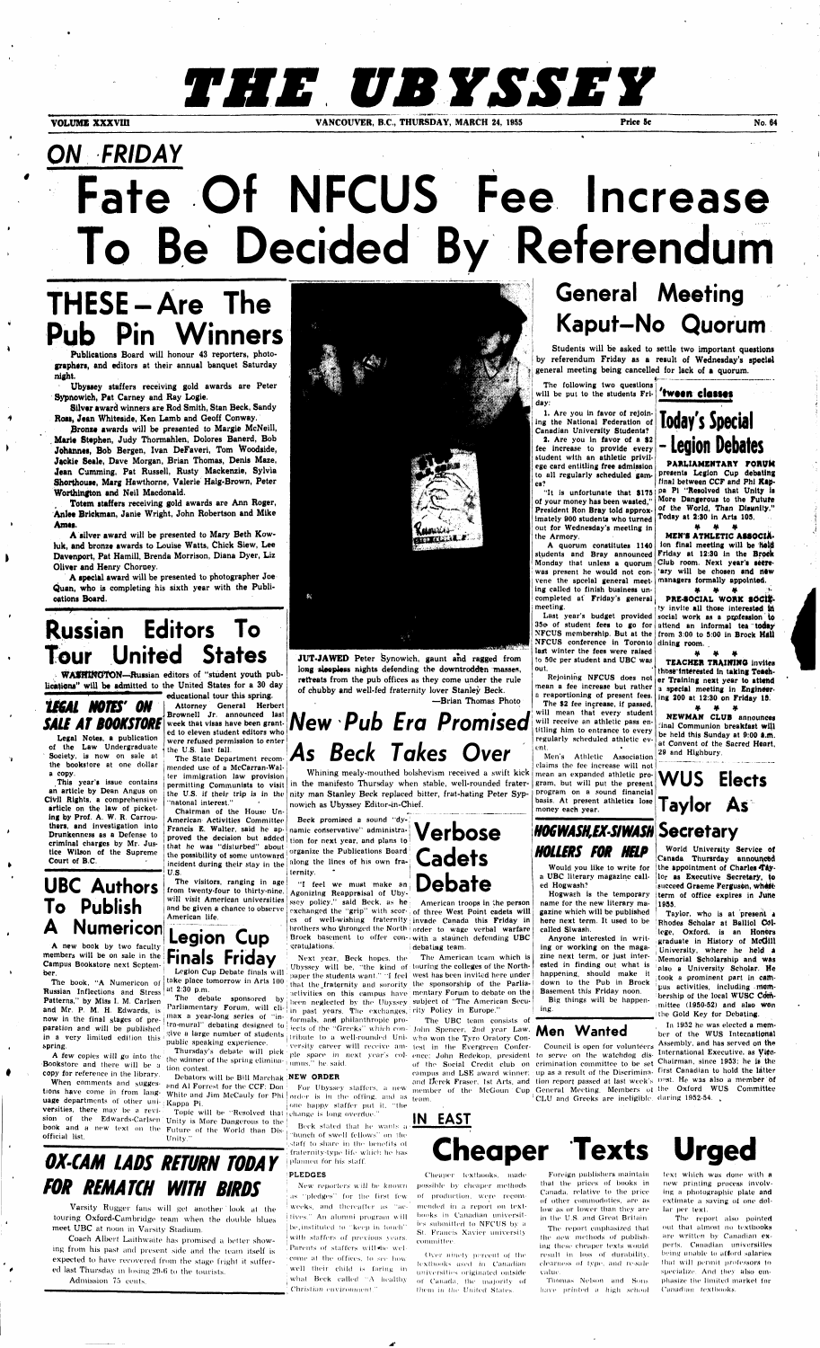# THE UBYSSEY

**VOLUME XXXVIII VANCOUVER, B.C., THURSDAY, MARCH 24, 1955 Price Sc No. 64** 

# *ON FRIDAY*  **Fate Of NFCUS Fee Increase To Be Decided By Referendum**

### **General Meeting Kaput-No Quorum**

# **THESE-Are The Pub Pin Winners**

**Silver award winners are Rod Smith, Stan Beck, Sandy**  Ross, Jean Whiteside, Ken Lamb and Geoff Conway.

**Publications Board will honour 43 reporters, photographers, and editors at their annual banquet Saturday night.** 

**Ubyssey staffers receiving gold awards are Peter Sypnowich, Pat Carney and Ray Logie.** 

#### $\overline{\mathcal{F}}$ ,, **Russian Editors To Tour United States**



**pronze awards will be presented to Margie McNeill, . Marie Stephen, Judy Thormahlen, Dolores Banerd, Bob Johannes, Bob Bergen, Ivan DeFaveri, Tom Woodside, Jackie Seale, Dave Morgan, Brian Thomas, Denis Maze, Jean Camming, Pat Russell, Rusty Mackenzie, Sylvia Shorthouse, Marg Hawthorne, Valerie Haig-Brown, Peter Worthington and Neil Macdonald.** 

**Totem staffers receiving gold awards are Ann Roger, Anlee Brickman, Janie Wright, John Robertson and Mike Ames.** 

**UBC Authors To Publish Numericon** 

**A silver award will be presented to Mary Beth Kowhik, and bronze awards to Louise Watts, Chick Siew, Lee Davenport, Pat Hamill, Brenda Morrison, Diana Dyer, Liz Oliver and Henry Choroey.** 

**A few copies will go into the copy for reference in the library.**<br>**Copy for reference in the library.** Debators in When comments and suggestional Al-Eore

**A special award will be presented to photographer Joe Quan, who is completing his sixth year with the Publications Board.** 

**sion of the Edwards-Carlsen Unity is More Dangerous to the book and a new text on the Future of the World than Dis-**Topic will be "Resolved that change is long overdue."

**WASHINGTON—Russian editors of "student youth publicaticna" will be admitted to the United States for a 30 day** 

*LESAL MOTES' ON SALE AT BOOKSTORE* 

> **The State Department recommended use of a McCarran-Walter immigration law provision permitting Communists to visit the U.S. if their trip is in the**  'natonal interest."

**Legal Notes, a publication of the Law Undergraduate Society, is now on sale at the bookstore at one dollar a copy.** 

**This year's issue contains an article by Dean Angus on ClVil Rights, a comprehensive article on the law of picketing by Prof. A. W. R. Carrouthers, and investigation into Drunkenness as a Defense to criminal charges by Mr. Justice Wilson of the Supreme Court of B.C.** 

**A new book by two faculty members will be on sale in the Finals Friday Campus Bookstore next September.** 

**JUT-JAWED** Peter Synowich, gaunt and ragged from **long sleepless nights defending the downtrodden masses,** 

New Pub Era Promised **Beck Takes Over** 

**The book, "A Numericon of Russian Inflections and Stress at 2:30 p.m. Patterns," by Miss I. M. Carlsen and Mr. P. M. H. Edwards, is**  now in the final stages of pre**paration and will be published**  in a very limited edition this **spring.** 

**uage departments of other uni- Kappa Pi.**<br>**versities**, there may be a revi- Topic w **versities, there may be a revi- Topic will be "Resolved that official list.** Unity .

**Coach Albert Laithwaite has promised a better showing from his past and present side and the team itself is expected to have recovered from the stage fright it suffer**ed last Thursday in losing 29-6 to the tourists.

**"I feel we must make an Agonizing Reappraisal of Ubyssey policy.**" said Beck, as he **American troops in the person** 

**educational tour this spring. Attorney General Herbert Brownell Jr. announced last** 

**week that visas have been granted to eleven student editors who were refused permission to enter the U.S. last fall.** 

> Beck stated that he wants a "bunch of swell fellows" on the staff to share in the benefits of fraternity-type life which ho has planned for his staff.

**Parliamentary Forum, will cli-** in past years. The exchanges, rity Policy in Europe." **max a year-long series of "in-( formals, and philanthropic pro-'**  tra-mural" debating designed to lects of the "Greeks" which con-' John Spencer, 2nd year Law, **Men Wanted give a large number of students**  j tribut e to a well-rounded Uni-**who won the Tyro Oratory Con-Next year, Beck hopes, tho The American team which is i Ubyssey will be, "the kind of touring the colleges of the Northpaper the students want." "I feel west has been invited here under that the .fraternity and sorority the sponsorship of the Parliaactivities on this campus have mentary Forum to debate on the i been neglected by the Ubyssey subject of "The American Secu-**

tions have come in from lang- White and Jim McCauly for Phi order is in the offing, and as team. one happy staffer put it, "the

**Chairman of the House Un-American Activities Committee Francis E. Walter, said he approved the decision but added that he was "disturbed" about thc possibility of some untoward incident during their stay in the U.S.** 

**The visitors, ranging in age from twenty-four to thirty-nine, will visit American universities and be given a chance to observe American life.** 

### **Legion Cup Legion Cup Debate finals will take place tomorrow in Arts 100**

**The debate sponsored by** 

**public speaking experience.** 

**Bookstore and there will be a** tion contest

Debators will be Bill Marchak **NEW ORDER** 

Last year's budget provided social work as a profession to **35o of student fees to go for attend an informal tea today NFCUS membership. But at the from 3:00 to 5:00 in Brock Mail NFCUS conference in Toronto dining room. last winter the fees were raised to 50c per student and UBC was out.** 

#### 'tween classes

**Students will be asked to settle two important questions by referendum Friday as a result of Wednesday's special general meeting being cancelled for lack of a quorum.** 

**retreats from the pub offices as they come under the rule of chubby and well-fed fraternity lover Stanley Beck.** 

**—Brian Thomas Photo** 

**Whining mealy-mouthed bolshevism received a swift kick in the manifesto Thursday when stable, well-rounded fraternity man Stanley Beck replaced bitter, frat-hating Peter Sypnowich as Ubyssey Editor-in-Chief.** 

### *OX-CAM LADS RETURN TODAY FOR REMATCH WITH BIRDS*

**Varsity Rugger fans will get another look at the touring Oxford-Cambridge team when the double blues meet UBC at noon in Varsity Stadium.** 

**Admission 75 cents.** 

**Beck promised a sound "dynamic conservative" administration for next year, and plans to organize the Publications Board along the lines of his own fraternity.** 

**Example 10 W Well receive am-** test in the Evergreen Confer-<br> **Council is open for volunteers** Assembly, and has served on the **, In 1952 he was elected a member of the WUS international** 

**exchanged the "grip" with scor-; of three West Point cadets will es of well-wishing fraternity ; invade Canada this Friday in brothers who thronged the North ! order to wage verbal warfare Brock basement to offer con- i with a staunch defending UBC**  *]* **gratulations.** 

When comments and sugges- and Al-Forrest for the CCF; Don For Ubyssey staffers, a new member of the McGoun Cup General Meeting. Members of the Oxford WUS Committee Thursday's debate will pick ple space in next year's col-ence; John Redekop, president to serve on the watchdog dis-International Executive, as Victoria. **of the Social Credit club on crimination committee to be set Chairman, since 1953; he is the campus and LSE award winner; up as a result of the Discrimina-first Canadian to hold the latter**  and Derek Fraser, 1st Arts, and *tion report passed at last week's post.* **He was also a member'of CLU and Greeks are ineligible during 1952-54. "** 

> New reporters will be known possible by cheaper methods as "pledges" for the first few weeks, and thereafter as "acitives." An alumni program will be instituted to "keep in touch" wilh staffers of previous years. .Parents of staffers will«be welcome at the offices, to see how well their child is faring in what Beck called "A healthy Christian environment. "

Over ninety percent of the textbooks used in Canadian universities originated outside of Canada, the majority of Ihem in the United States.

Foreign publishers maintain that the prices of books in Canada , relative to the price of other commodoties, are as low as or lower than they are in the U.S. and Great Britain.

The report emphasized that the new methods of publishing these cheaper texts would result in loss of durability, clearness of type, and re-sale value.

Thomas Nelson and Sons have printed a high school text which was done with a new printing process involving a photographic plate and extimate a saving of one dollar per text.

The report also pointed out that almost no textbooks are written by Canadian experts, Canadian universities being unable to afford salaries that will permit professors to specialize. And they also emphasize the limited market for Canadian textbooks.

**! Verbose** 

**j Cadets** 

**! Debate** 

**debating team.** 

# **The UBC team consists of**

**IN EAST** 

**The following two questions will be put to the students Friday:** 

**1. Are you in favor of rejoining the National Federation of Canadian University Students?** 

**2. Are you in favor of a \$2 fee increase to provide every student with an athletic privilege card entitling free admission to all regularly scheduled games?** 

**"It is unfortunate that \$175 of your money has been wasted," President Ron Bray told approximately 900 students who turned out for Wednesday's meeting in the Armory.** 

**A quorum constitutes 1140 students and Bray announced Friday at 12:30 in the Brock Monday that unless a quorum Club room. Next year's seere was present he would not con-'ary will be chosen and new vene the spceial general meet-managers formally appointed. ing called to finish business uncompleted at' Friday's general meeting.** 

**Rejoining NFCUS does not er Training next year to attend mean a fee increase but rather a reaportioning of present fees. The \$2 fee increase, if passed, will mean that every student will receive an athletic pass entitling him to entrance to every regularly scheduled athletic ev-**

**ent. Men's Athletic Association claims the fee increase will not mean an expanded athletic program, but will put the present program on a sound financial basis. At present athletics lose money each year.** 

### *imWASKEXSIWASH*  **Secretary**  *HOLLERS FOR HELP*

**Would you like to write for a UBC literary magazine called Hogwash?** 

**Hogwash is the temporary name for the new literary magazine which will be published here next term. It used to be called Siwash.** 

**Anyone interested in writing or working on the magazine next term, or just interested in finding out what is happening, should make it down to the Pub in Brock Basement this Friday noon. Big things will be happen-**

**ing.** 

### **Today's Special - Legion Debates**

**PARLIAMENTARY FORVM presents Legion Cup debating**  final between CCF and Phi Kap**pa Pi "Resolved that Unity is More Dangerous to the Future of the World, Than Disunity." Today at 2:30 in Arts 109.** 

- 86 **MEN'S ATHLETIC AISOClA**ion final meeting will be held

*9f. >f* ¥ > **PRE-SOCIAL WORK SOCIEty invite all those interested itt** 

**if, if, if, TEACHER TRAINING invites thosrtnterested in taking Teach-**

**a special meeting in Engineering 200 at 12:30 on Friday 15. •ft** *ip ep* 

**NEWMAN CLUB announces :inal Communion breakfast Will be held this Sunday at 9:00 A.m. at Convent of the Sacred Heart, 29 and Highbury.** 

**WUS Elects Taylor As** 

**World University Service of Canada Thursrday announced**  the appointment of Charles Tay**lor as Executive Secretary, to**  succeed Graeme Ferguson, where **term of office expires in June 1955.** 

**Taylor, who is at present a 'Rhodes Scholar at Balliol College, Oxford, is an Honors graduate in History of Mcdlll j University, where he held a .Memorial Scholarship and was also a University Scholar. He i took a prominent part in campus activities, including .mem**bership of the local WUSC Com**mittee (1950-52) and also WOn the Gold Key for Debating.** 



# committee .

of production, were recommended in a report on textbooks in Canadian universities submitted to NFCUS by a St. Francis Xavier university

**\_r**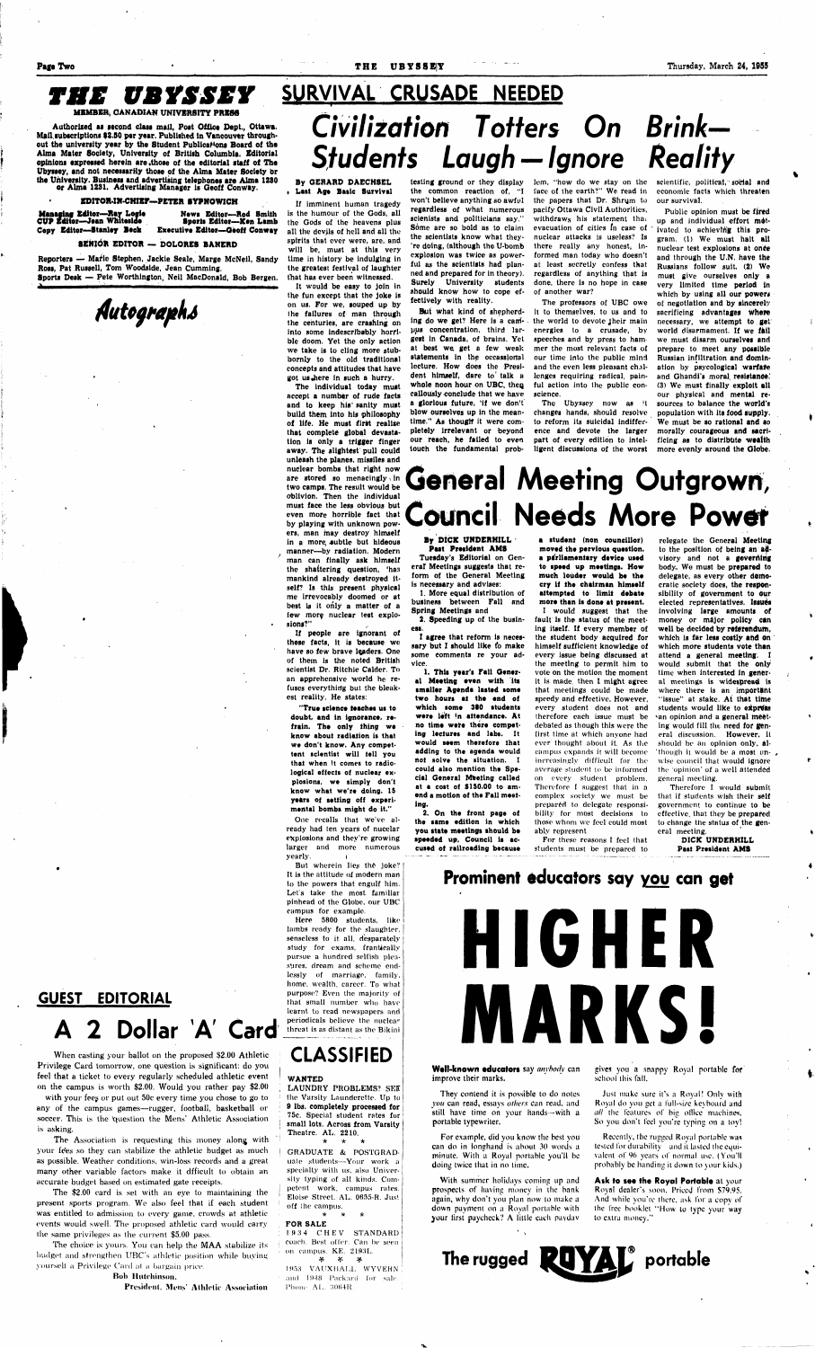#### **Page Two** *Thursday, March 24, 1955* **<b>Page Two** *Thursday, March 24, 1955*

# Civilization Totters On Brink— Students Laugh —Ignore Reality

### **THE UBYSSEY** SURVIVAL CRUSADE NEEDED

**MEMBER, CANADIAN UNIVERSITY PRESS** 

**Authorized as second class mail, Post Office Dept., Ottawa. Mail.subscriptions I2.B0 per year. Published in Vancouver throughout the university year by** *ihe* **Student Publications Board of the Alma Mater Society, University of British Columbia. Editorial opinions expressed herein are .those of the editorial staff of The Ubyssey, and** not **necessarily those of the Alma Mater Society br the University. Business and advertising telephones** are **Alma 1280** 

**or Alma 1231. Advertising Manager is Geoff Conway.** 

#### **EDlTOR.IN.CHIEr—PETER SYPNOWICH**

#### **SENIOR EDITOR — DOLORES BANERD**

**Managing Editor—Ray Loeie CUP Editor—Jean Whiteside Copy Editor—Stanley Beck News Editor—Rod Smith Sports Editor—**Ken **Lamb Executive Editor—Geoff Conway** 

**Reporters — Marie Stephen, Jackie Seale, Marge McNeil, Sandy Ross, Pat Russell, Tom Woodslde, Jean Cumming. Sports Desk — Pete Worthington, Neil MacDonald, Bob Bergen.** 

**\ "' -•' ' ' i i** 

*rftttoffia/tfo* 

**GUEST EDITORIAL** 

### 2 Dollar 'A' Card

When casting your ballot on the proposed \$2.00 Athletic Privilege Card tomorrow, one question is significant: do you feel that a ticket to every regularly scheduled athletic event on the campus is worth \$2.00. Would you rather pay \$2.00

with your fees or put out 50c every time you chose to go to any of the campus games—rugger, football, basketball or soccer. This is the 'question the Mens' Athletic Association is asking.

The Association is requesting this money along with your fees so they can stabilize the athletic budget as much as possible. Weather conditions, win-loss records and a great many other variable factors make it dfficult to obtain an accurate budget based on estimated gate receipts.

The \$2.00 card is set with an eye to maintaining the present sports program. We also feel that if each student was entitled to admission to every game, crowds at athletic events would swell. The proposed athletic card would carry the same privileges as the current \$5.00 pass.

One recalls that we've already had ten years *qi* nucelar explosions and they're growing larger and more numerous yearly.

The choice is yours. You can help the MAA stabilize its budget and strengthen UBC's athletic position while buying yourself a Privilege Card al a bargain price.

Boh Hutchinson,

President, Mens' Athletic Association

#### **By GERARD DAECHSEL • Last** Age **Basic Survival**

If imminent human tragedy is the humour of the Gods, **all**  the Gods of the heavens plus all the devjls **of** hell **and all** the spirits that ever were, are, and will be, must **at** this very time in history be **indulging** in the **greatest** festival of **laughter**  that **has** ever been **witnessed. It would be easy to join** in

LAUNDRY PROBLEMS? SEE the Varsity Launderette. Up to **9 lbs. completely processed for**  75c. Special student rates for small **lots. Across from Varsity**  Theatre. AL. 2210. \* \* \*

**¥ #** *-V\* \9'Y,,* VAtiXHALL WYVERN and 1948 Packard for sale. Phone AL. 3064R.

the **fun except that** the **joke is on us. For we, souped up by the failures of man through the centuries, are crashing on into some indescribably horrible doom. Yet the only action we take is to cling more stubbornly to the old traditional concepts and attitudes that have got us.here in such a hurry.** 

**The individual today must accept a number of rude facts and to keep his' sanity must build them into his philosophy of life. He must first realize that complete global devastation is only a trigger finger away. The slightest pull could unleash the planes, missiles and nuclear bombs that right now are stored so menacingly \ in two camps. The result would be oblivion. Then the individual must face the less obvious but even more horrible fact that by playing with unknown powers, man may destroy himself**  in a more subtle but hideous **manner—by radiation. Modern man can finally ask himself the shattering question, 'has mankind already destroyed itself? Is this present physical me irrevocably doomed or at best is it only a matter of a**  few more nuclear test explo**sions?"** 

The Ubyssey now as it changes hands, should resolve to **reform** its **suicidal indifference and devote the larger part of every** edition to **intelligent discussions of** the **worst** 

scientific, political, social and economic facts which threaten our survival.

**If people are ignorant of these facts, it is because we have so few brave leaders. One of them is the noted British scientist Dr. Ritchie Calder. To** 

**an apprehensive world he re**fuses everything but the bleak**est reality. He states:** 

## General Meeting Outgrown, ouncil Needs More Power

**"True science teaches ui to doubt, and in ignorance, refrain. The only thing we know about radiation is that**  we don't know. Any compet**tent scientist will tell you that when it comes to radiological effects of nuclear explosions, we simply don't know what we're doing. IS years of setting off experimental bombs might do it."** 

But wherein lies the joke? It is the attitude of modern man to the powers that engulf him. Let's take the most familiar pinhead of the Globe, our UBC campus for example.

Here 5800 students, like lambs ready for the slaughter, senseless to it all, desparately study for exams, frantically pursue a hundred selfish pleasures, dream and scheme endlessly of marriage, family, home, wealth, career. To what purpose? Even the majority of that small number who have learnt to read newspapers and periodicals believe the nuclear threat, is as distant as the Bikini

### CLASSIFIED

#### **WANTED**

GRADUATE & POSTGRADuate students—Your work a specialty with us, also University typing of all kinds. Competent work, campus rates. Eloise Street. AL. 0635-R. Just off the campus.

**\* \*** *-k* 

**FOR SALE**  19.14 CHEV STANDARD coach. Best offer. Can be seen on campus. KE. 2193L.

**testing ground or they display the common reaction of, "I won't believe anything so awful regardless** of what numerous scienists **and** politicians say." **Some** are so **bold** as to claim **the scientists know** what they- 're **doing, (although the U-bomb explosion was twice as powerful as the scientists had planned and prepared for in theory). Surely University students should know how to cope effectively with reality.** 

**But what kind of shepherd**ing do we get? Here is a cam-. the world to devote their main **pus concentration, third largest in Canada, of brains. Yet at best we get a few weak statements in the occassional lecture. How does the President himself, dare to<sup>1</sup> talk a**  whole noon hour on UBC, then **callously conclude that we have a glorious future, 'if we don't blow ourselves up in the mean**time." As thought it were com**pletely irrelevant or beyond our reach, he failed to even touch the fundamental prob-**

lem, "how do we stay on the face of the earth?" We read in the papers that Dr, Shrym to pacify Ottawa Civil Authorities, withdraws his statement that evacuation of cities in case of nuclear attacks is useless? Is there really any honest, informed man today who doesn't at least secretly confess that regardless of anything that is done, there is no hope in case of another war?

The professors of UBC owe it to themselves, to us and to energies to a crusade, by speeches and by press to hammer the most relevant facts of our time into the public mind and the even less pleasant challenges requiring radical, painful action into the public conscience.

Public opinion must **be fired up and individual effort motivated to achievlh'g this program. (1) We must halt all nuclear test explosions at once and through the U.N, have the Russians follow suit. (2) We must give ourselves only a very limited time period in**  which by using all our powers **of negotiation and by sincerely**  sacrificing **advantages where**  necessary, we **attempt to get world disarmament. If we fail we** must **disarm ourselves and**  prepare **to** meet **any possible Russian infiltration and domination by psycologlcal warfare**  and Ghandi's **moral, resistance.' (3) We must finally exploit all**  our **physical and mental resources to balance the world's population with its food supply. We must be so rational and so morally courageous and sacrificing as to distribute wealth more evenly around the Globe.** 

#### **By DICK UNDERHILL Past President AMS**

**Tuesday's Editorial on General Meetings suggests that reform of the General Meeting is necessary and advises:** 

**1. More equal distribution of business between Fall and Spring Meetings and** 

**2. Speeding up of the business. I agree that reform is neces-**

**sary but I should like fo make** 

**some comments re your advice. 1. This year's Fall Gener-**

**al Meeting even with its smaller Agenda lasted some two hours at** the **end of which some 380 students were left** *\*n* **attendance. At no time were there competing lectures and labs. It would seem therefore that adding to the agenda would not solve the situation. I could also mention the Special General Meeting called at a cost of \$150.00 to amend a motion of the Fall meeting.** 

**2. On the front page of the same edition in which you state meetings should be speeded up. Council is accused of railroading because**  **a student (non councillor) moved the pervious question, a parliamentary device used to speed up meetings. How much louder would be** the **cry if the chairman himself attempted to limit debate more than is done at present.** 

**I would suggest that** the **fault is the status of the meeting itself. If every member of the student body acquired for himself sufficient knowledge of**  every issue **being discussed at**  the **meeting** to permit him **to**  vote on the motion the moment

it is made, then I might agree that meetings could be made speedy and effective. However, every student does not and therefore each issue must be debated as though this were the first time at which anyone had ever thought about it. As the campus expands it will become increasingly difficult for the average student to be informed on every student problem. Therefore I suggest that in a complex society we must be prepared to delegate responsiprepared to uelegate responsi-<br>hillity for most decisions to bility for most decisions to<br>those whom we feel could most ably represent

For these reasons I feel that students must be prepared to

relegate the **General Meeting to** the position **of being an advisory** and not **a governing**  body. **We** must **be prepared to delegate, as every other democratic society does, the responsibility of government to Our elected representatives. Issues**  involving **large amounts of money or major policy** can **well be decided by referendum,**  which **is far less costly and On which more students vote than**  attend **a general meeting. I would submit that the only**  time when **interested in general** meetings is **widespread is**  where there is an **important**  "issue" at stake. **At that time students would like to express**  \*an opinion and a **general meet**ing would fill the need for general discussion. **However.** It should be an opinion only, al- 'though it would be a most unwise council that would ignore the 'opinion' of a well attended general meeting. Therefore I would submit that if students wish their self government to continue to be effective, that they be prepared to change the status of the general meeting.

> **DICK UNDERHILL Past President AMS**

### **Prominent educators say you can get**



**Well-known educators** say *anybody* can improve their marks.

They contend it is possible to do notes *you* can read, essays *others* can read, and still have time on your hands—with a portable typewriter.

For example, did you know the best you can do in longhand is about 30 words a minute. With a Royal portable you'll be doing twice that in no lime.

With summer holidays coming up and prospects of having money in the bank again, why don't you plan now to make a down payment on a Royal portable with your tirst paycheck? A little each paydav gives you a snappy Royal portable for school this fall.

Just make sure it's a Royal! Only with Royal do you get a full-size keyboard and *all* the features of big office machines. So you don't feel you're typing on a toy!

Recently, the rugged Royal portable was tested for durability and it lasted the equivalent of 96 years of normal use. (You'll probably be handing it down to your kids,)

**Ask to see the Royal Portable** at your Royal dealer's soon. Priced from \$79.95. And while you're there, ask for a copy of the free booklet "How to type your way to extra money."

# The rugged **RUYAL** portable